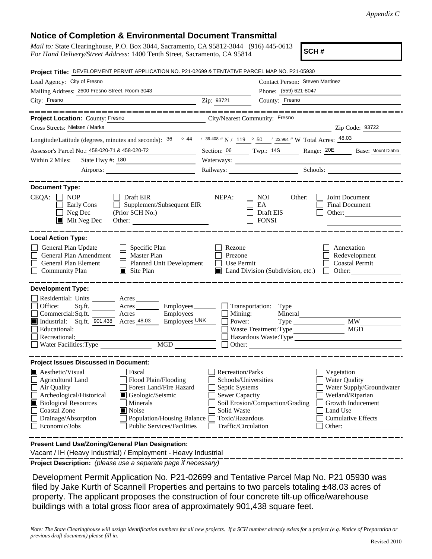## **Notice of Completion & Environmental Document Transmittal**

| <u>nonce or completion a Environmental Document Transmittar</u><br><i>Mail to:</i> State Clearinghouse, P.O. Box 3044, Sacramento, CA 95812-3044 (916) 445-0613<br>For Hand Delivery/Street Address: 1400 Tenth Street, Sacramento, CA 95814                                                                                                                                         |                                                                                                                                                     |                                                  | SCH#                                                                                                                                                                                                                           |  |  |  |  |
|--------------------------------------------------------------------------------------------------------------------------------------------------------------------------------------------------------------------------------------------------------------------------------------------------------------------------------------------------------------------------------------|-----------------------------------------------------------------------------------------------------------------------------------------------------|--------------------------------------------------|--------------------------------------------------------------------------------------------------------------------------------------------------------------------------------------------------------------------------------|--|--|--|--|
| Project Title: DEVELOPMENT PERMIT APPLICATION NO. P21-02699 & TENTATIVE PARCEL MAP NO. P21-05930                                                                                                                                                                                                                                                                                     |                                                                                                                                                     |                                                  |                                                                                                                                                                                                                                |  |  |  |  |
|                                                                                                                                                                                                                                                                                                                                                                                      |                                                                                                                                                     |                                                  |                                                                                                                                                                                                                                |  |  |  |  |
| Lead Agency: City of Fresno                                                                                                                                                                                                                                                                                                                                                          |                                                                                                                                                     | Contact Person: Steven Martinez                  |                                                                                                                                                                                                                                |  |  |  |  |
| Mailing Address: 2600 Fresno Street, Room 3043                                                                                                                                                                                                                                                                                                                                       |                                                                                                                                                     | Phone: (559) 621-8047                            |                                                                                                                                                                                                                                |  |  |  |  |
| City: Fresno<br><u>2ip: 93721</u>                                                                                                                                                                                                                                                                                                                                                    |                                                                                                                                                     | County: Fresno                                   |                                                                                                                                                                                                                                |  |  |  |  |
| _____________<br>Project Location: County: Fresno<br>City/Nearest Community: Fresno                                                                                                                                                                                                                                                                                                  |                                                                                                                                                     |                                                  |                                                                                                                                                                                                                                |  |  |  |  |
| Cross Streets: Nielsen / Marks                                                                                                                                                                                                                                                                                                                                                       |                                                                                                                                                     |                                                  | $\frac{1}{2}$ Zip Code: 93722                                                                                                                                                                                                  |  |  |  |  |
| Longitude/Latitude (degrees, minutes and seconds): $\frac{36}{100}$ $\circ$ $\frac{44}{100}$ $\cdot$ $\frac{39.408}{100}$ N / 119 $\circ$ 50 $\cdot$ 23.964 " W Total Acres: $\frac{48.03}{1000}$                                                                                                                                                                                    |                                                                                                                                                     |                                                  |                                                                                                                                                                                                                                |  |  |  |  |
| Assessor's Parcel No.: 458-020-71 & 458-020-72                                                                                                                                                                                                                                                                                                                                       |                                                                                                                                                     |                                                  |                                                                                                                                                                                                                                |  |  |  |  |
| Section: 06 Twp.: 14S Range: 20E Base: Mount Diablo<br>State Hwy #: 180<br>Within 2 Miles:                                                                                                                                                                                                                                                                                           |                                                                                                                                                     |                                                  |                                                                                                                                                                                                                                |  |  |  |  |
|                                                                                                                                                                                                                                                                                                                                                                                      |                                                                                                                                                     |                                                  | Railways: Schools: Schools: 2000 Schools: 2000 Schools: 2000 Schools: 2000 Schools: 2000 Schools: 2000 Schools: 2000 Schools: 2000 Schools: 2000 Schools: 2000 Schools: 2000 Schools: 2000 Schools: 2000 Schools: 2000 Schools |  |  |  |  |
|                                                                                                                                                                                                                                                                                                                                                                                      |                                                                                                                                                     |                                                  |                                                                                                                                                                                                                                |  |  |  |  |
| <b>Document Type:</b>                                                                                                                                                                                                                                                                                                                                                                |                                                                                                                                                     |                                                  |                                                                                                                                                                                                                                |  |  |  |  |
| <b>NOP</b><br>$CEQA: \Box$<br>$\Box$ Draft EIR<br>$\Box$ Supplement/Subsequent EIR<br>Early Cons<br>Neg Dec<br>(Prior SCH No.)<br>$\blacksquare$ Mit Neg Dec<br>Other:                                                                                                                                                                                                               | NEPA:                                                                                                                                               | NOI<br>Other:<br>EA<br>Draft EIS<br><b>FONSI</b> | Joint Document<br>Final Document<br>Other:                                                                                                                                                                                     |  |  |  |  |
| <b>Local Action Type:</b><br>General Plan Update<br>$\Box$ Specific Plan<br>General Plan Amendment<br>Master Plan<br>General Plan Element<br>Planned Unit Development<br><b>Community Plan</b><br>$\blacksquare$ Site Plan                                                                                                                                                           | Rezone<br>Prezone<br>$\Box$ Use Permit                                                                                                              | Land Division (Subdivision, etc.)                | Annexation<br>Redevelopment<br><b>Coastal Permit</b><br>Other:<br>$\Box$                                                                                                                                                       |  |  |  |  |
| <b>Development Type:</b><br>Residential: Units ________ Acres _______<br>Sq.ft. Acres Employees Transportation: Type<br>Office:<br>Commercial: $Sq$ .ft. Acres Employees $\Box$ Mining:<br>Employees UNK<br>Industrial: Sq.ft. 901,438 Acres 48.03<br>Educational:<br>Recreational:<br>MGD<br>Water Facilities: Type                                                                 | Power:<br>$\Box$ Other:                                                                                                                             | Waste Treatment: Type                            | $Type$ $MW$<br>Hazardous Waste: Type                                                                                                                                                                                           |  |  |  |  |
| <b>Project Issues Discussed in Document:</b>                                                                                                                                                                                                                                                                                                                                         |                                                                                                                                                     |                                                  |                                                                                                                                                                                                                                |  |  |  |  |
| $\blacksquare$ Aesthetic/Visual<br>Fiscal<br><b>Agricultural Land</b><br>Flood Plain/Flooding<br>Forest Land/Fire Hazard<br>Air Quality<br>Archeological/Historical<br>Geologic/Seismic<br><b>Biological Resources</b><br>Minerals<br><b>Coastal Zone</b><br>Noise<br>Drainage/Absorption<br><b>Population/Housing Balance</b><br>Economic/Jobs<br><b>Public Services/Facilities</b> | <b>Recreation/Parks</b><br>Schools/Universities<br>Septic Systems<br><b>Sewer Capacity</b><br>Solid Waste<br>Toxic/Hazardous<br>Traffic/Circulation | Soil Erosion/Compaction/Grading                  | Vegetation<br><b>Water Quality</b><br>Water Supply/Groundwater<br>Wetland/Riparian<br>Growth Inducement<br>Land Use<br><b>Cumulative Effects</b><br>Other:                                                                     |  |  |  |  |
| Present Land Use/Zoning/General Plan Designation:<br>Vacant / IH (Heavy Industrial) / Employment - Heavy Industrial                                                                                                                                                                                                                                                                  |                                                                                                                                                     |                                                  |                                                                                                                                                                                                                                |  |  |  |  |

**Project Description:** *(please use a separate page if necessary)*

 Development Permit Application No. P21-02699 and Tentative Parcel Map No. P21 05930 was filed by Jake Kurth of Scannell Properties and pertains to two parcels totaling ±48.03 acres of property. The applicant proposes the construction of four concrete tilt-up office/warehouse buildings with a total gross floor area of approximately 901,438 square feet.

*Note: The State Clearinghouse will assign identification numbers for all new projects. If a SCH number already exists for a project (e.g. Notice of Preparation or previous draft document) please fill in.*